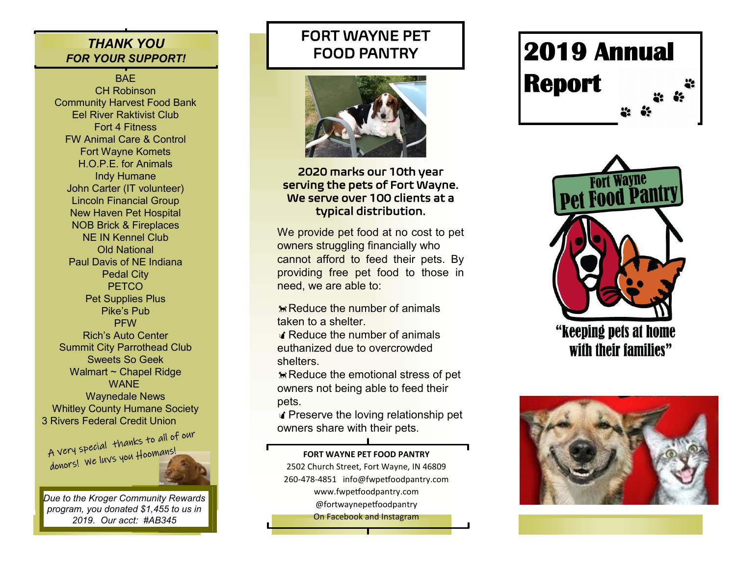## *THANK YOU FOR YOUR SUPPORT!*

BAE CH Robinson Community Harvest Food Bank Eel River Raktivist Club Fort 4 Fitness FW Animal Care & Control Fort Wayne Komets H.O.P.E. for Animals Indy Humane John Carter (IT volunteer) Lincoln Financial Group New Haven Pet Hospital NOB Brick & Fireplaces NE IN Kennel Club Old National Paul Davis of NE Indiana Pedal City **PETCO** Pet Supplies Plus Pike's Pub **PFW** Rich's Auto Center Summit City Parrothead Club Sweets So Geek Walmart ~ Chapel Ridge WANE Waynedale News Whitley County Humane Society

3 Rivers Federal Credit Union<br>A very special thanks to all of our A very special Thanks

*Due to the Kroger Community Rewards program, you donated \$1,455 to us in 2019. Our acct: #AB345*

## FORT WAYNE PET FOOD PANTRY



#### 2020 marks our 10th year serving the pets of Fort Wayne. We serve over 100 clients at a typical distribution.

We provide pet food at no cost to pet owners struggling financially who cannot afford to feed their pets. By providing free pet food to those in need, we are able to:

 $R$ Reduce the number of animals taken to a shelter.

**A** Reduce the number of animals euthanized due to overcrowded shelters.

**Reduce the emotional stress of pet** owners not being able to feed their pets.

Preserve the loving relationship pet owners share with their pets.

**FORT WAYNE PET FOOD PANTRY**

2502 Church Street, Fort Wayne, IN 46809 260-478-4851 info@fwpetfoodpantry.com www.fwpetfoodpantry.com @fortwaynepetfoodpantry

On Facebook and Instagram

# **2019 Annual Report**



"keeping pets at home with their families"